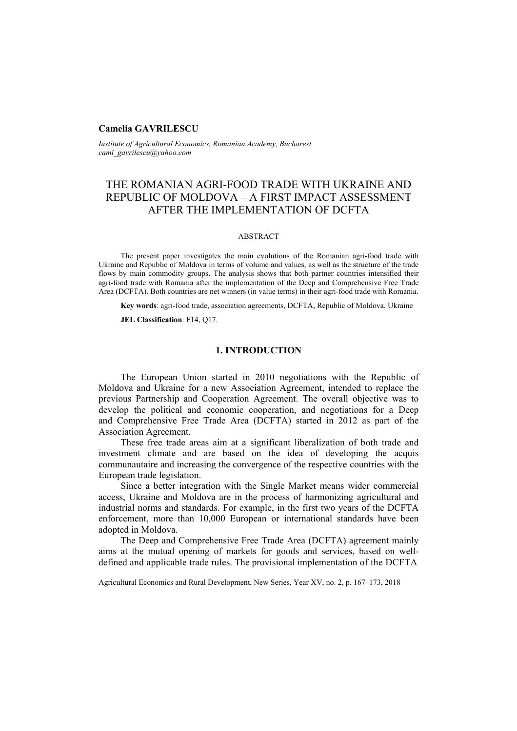## **Camelia GAVRILESCU**

*Institute of Agricultural Economics, Romanian Academy, Bucharest cami\_gavrilescu@yahoo.com* 

# THE ROMANIAN AGRI-FOOD TRADE WITH UKRAINE AND REPUBLIC OF MOLDOVA – A FIRST IMPACT ASSESSMENT AFTER THE IMPLEMENTATION OF DCFTA

#### ABSTRACT

The present paper investigates the main evolutions of the Romanian agri-food trade with Ukraine and Republic of Moldova in terms of volume and values, as well as the structure of the trade flows by main commodity groups. The analysis shows that both partner countries intensified their agri-food trade with Romania after the implementation of the Deep and Comprehensive Free Trade Area (DCFTA). Both countries are net winners (in value terms) in their agri-food trade with Romania.

**Key words**: agri-food trade, association agreements, DCFTA, Republic of Moldova, Ukraine

**JEL Classification**: F14, Q17.

## **1. INTRODUCTION**

The European Union started in 2010 negotiations with the Republic of Moldova and Ukraine for a new Association Agreement, intended to replace the previous Partnership and Cooperation Agreement. The overall objective was to develop the political and economic cooperation, and negotiations for a Deep and Comprehensive Free Trade Area (DCFTA) started in 2012 as part of the Association Agreement.

These free trade areas aim at a significant liberalization of both trade and investment climate and are based on the idea of developing the acquis communautaire and increasing the convergence of the respective countries with the European trade legislation.

Since a better integration with the Single Market means wider commercial access, Ukraine and Moldova are in the process of harmonizing agricultural and industrial norms and standards. For example, in the first two years of the DCFTA enforcement, more than 10,000 European or international standards have been adopted in Moldova.

The Deep and Comprehensive Free Trade Area (DCFTA) agreement mainly aims at the mutual opening of markets for goods and services, based on welldefined and applicable trade rules. The provisional implementation of the DCFTA

Agricultural Economics and Rural Development, New Series, Year XV, no. 2, p. 167–173, 2018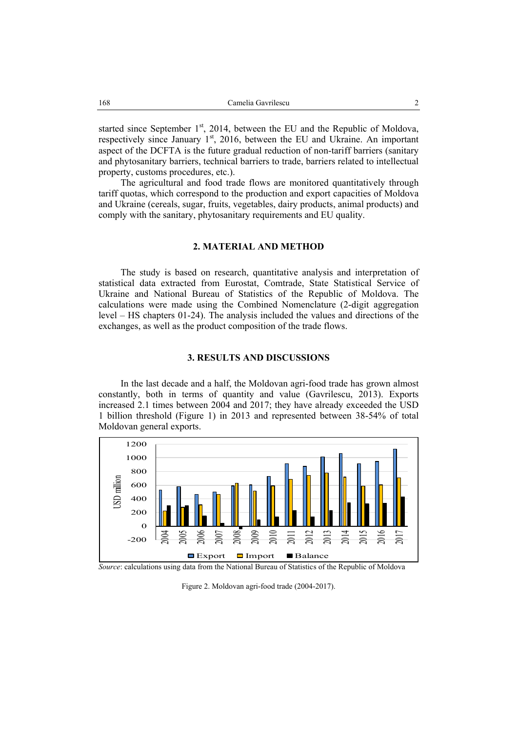started since September  $1<sup>st</sup>$ , 2014, between the EU and the Republic of Moldova, respectively since January  $1<sup>st</sup>$ , 2016, between the EU and Ukraine. An important aspect of the DCFTA is the future gradual reduction of non-tariff barriers (sanitary and phytosanitary barriers, technical barriers to trade, barriers related to intellectual property, customs procedures, etc.).

The agricultural and food trade flows are monitored quantitatively through tariff quotas, which correspond to the production and export capacities of Moldova and Ukraine (cereals, sugar, fruits, vegetables, dairy products, animal products) and comply with the sanitary, phytosanitary requirements and EU quality.

### **2. MATERIAL AND METHOD**

The study is based on research, quantitative analysis and interpretation of statistical data extracted from Eurostat, Comtrade, State Statistical Service of Ukraine and National Bureau of Statistics of the Republic of Moldova. The calculations were made using the Combined Nomenclature (2-digit aggregation level – HS chapters 01-24). The analysis included the values and directions of the exchanges, as well as the product composition of the trade flows.

# **3. RESULTS AND DISCUSSIONS**

In the last decade and a half, the Moldovan agri-food trade has grown almost constantly, both in terms of quantity and value (Gavrilescu, 2013). Exports increased 2.1 times between 2004 and 2017; they have already exceeded the USD 1 billion threshold (Figure 1) in 2013 and represented between 38-54% of total Moldovan general exports.



Source: calculations using data from the National Bureau of Statistics of the Republic of Moldova

Figure 2. Moldovan agri-food trade (2004-2017).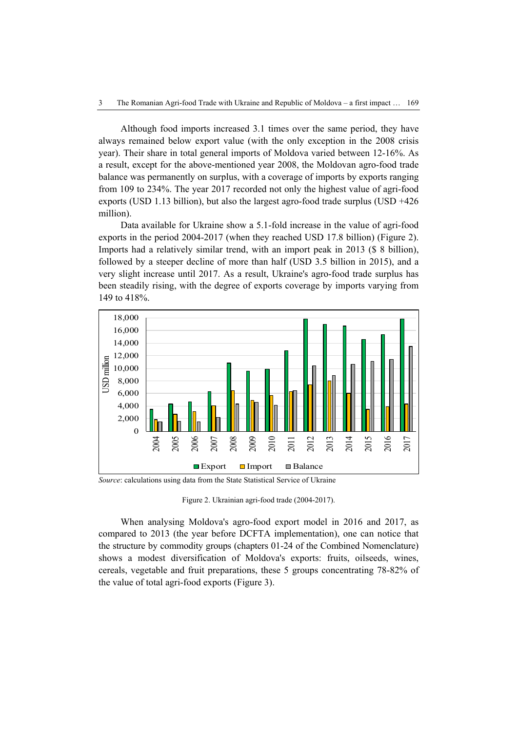Although food imports increased 3.1 times over the same period, they have always remained below export value (with the only exception in the 2008 crisis year). Their share in total general imports of Moldova varied between 12-16%. As a result, except for the above-mentioned year 2008, the Moldovan agro-food trade balance was permanently on surplus, with a coverage of imports by exports ranging from 109 to 234%. The year 2017 recorded not only the highest value of agri-food exports (USD 1.13 billion), but also the largest agro-food trade surplus (USD +426 million).

Data available for Ukraine show a 5.1-fold increase in the value of agri-food exports in the period 2004-2017 (when they reached USD 17.8 billion) (Figure 2). Imports had a relatively similar trend, with an import peak in 2013 (\$ 8 billion), followed by a steeper decline of more than half (USD 3.5 billion in 2015), and a very slight increase until 2017. As a result, Ukraine's agro-food trade surplus has been steadily rising, with the degree of exports coverage by imports varying from 149 to 418%.



*Source*: calculations using data from the State Statistical Service of Ukraine

Figure 2. Ukrainian agri-food trade (2004-2017).

When analysing Moldova's agro-food export model in 2016 and 2017, as compared to 2013 (the year before DCFTA implementation), one can notice that the structure by commodity groups (chapters 01-24 of the Combined Nomenclature) shows a modest diversification of Moldova's exports: fruits, oilseeds, wines, cereals, vegetable and fruit preparations, these 5 groups concentrating 78-82% of the value of total agri-food exports (Figure 3).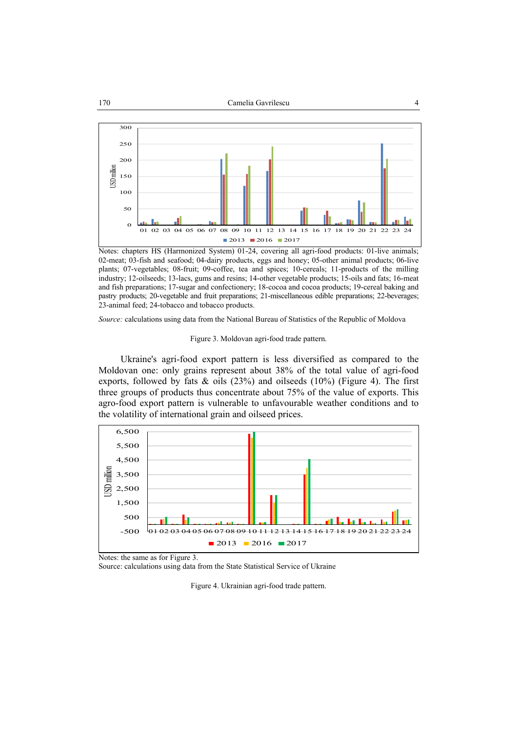

Notes: chapters HS (Harmonized System) 01-24, covering all agri-food products: 01-live animals; 02-meat; 03-fish and seafood; 04-dairy products, eggs and honey; 05-other animal products; 06-live plants; 07-vegetables; 08-fruit; 09-coffee, tea and spices; 10-cereals; 11-products of the milling industry; 12-oilseeds; 13-lacs, gums and resins; 14-other vegetable products; 15-oils and fats; 16-meat and fish preparations; 17-sugar and confectionery; 18-cocoa and cocoa products; 19-cereal baking and pastry products; 20-vegetable and fruit preparations; 21-miscellaneous edible preparations; 22-beverages; 23-animal feed; 24-tobacco and tobacco products.

*Source:* calculations using data from the National Bureau of Statistics of the Republic of Moldova

Figure 3. Moldovan agri-food trade pattern.

Ukraine's agri-food export pattern is less diversified as compared to the Moldovan one: only grains represent about 38% of the total value of agri-food exports, followed by fats  $\&$  oils (23%) and oilseeds (10%) (Figure 4). The first three groups of products thus concentrate about 75% of the value of exports. This agro-food export pattern is vulnerable to unfavourable weather conditions and to the volatility of international grain and oilseed prices.



Notes: the same as for Figure 3.

Source: calculations using data from the State Statistical Service of Ukraine

Figure 4. Ukrainian agri-food trade pattern.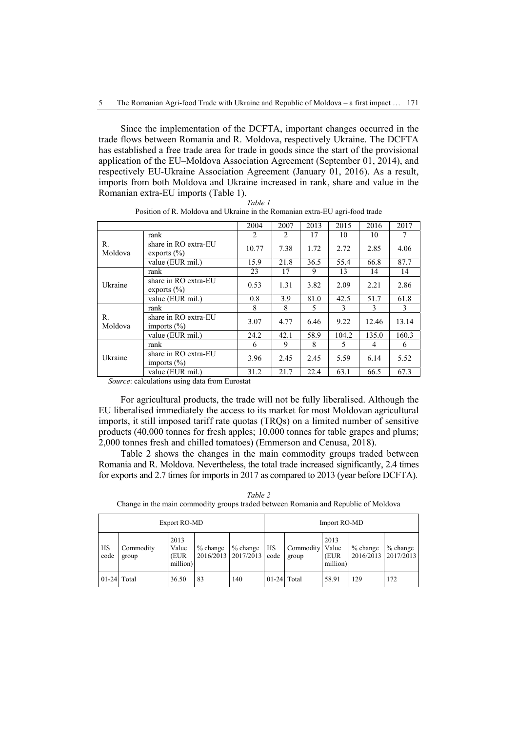Since the implementation of the DCFTA, important changes occurred in the trade flows between Romania and R. Moldova, respectively Ukraine. The DCFTA has established a free trade area for trade in goods since the start of the provisional application of the EU–Moldova Association Agreement (September 01, 2014), and respectively EU-Ukraine Association Agreement (January 01, 2016). As a result, imports from both Moldova and Ukraine increased in rank, share and value in the Romanian extra-EU imports (Table 1).

|               |                                         | 2004  | 2007 | 2013 | 2015  | 2016  | 2017  |
|---------------|-----------------------------------------|-------|------|------|-------|-------|-------|
| R.<br>Moldova | rank                                    | 2     | 2    | 17   | 10    | 10    | 7     |
|               | share in RO extra-EU<br>exports $(\% )$ | 10.77 | 7.38 | 1.72 | 2.72  | 2.85  | 4.06  |
|               | value (EUR mil.)                        | 15.9  | 21.8 | 36.5 | 55.4  | 66.8  | 87.7  |
|               | rank                                    | 23    | 17   | 9    | 13    | 14    | 14    |
| Ukraine       | share in RO extra-EU<br>exports $(\% )$ | 0.53  | 1.31 | 3.82 | 2.09  | 2.21  | 2.86  |
|               | value (EUR mil.)                        | 0.8   | 3.9  | 81.0 | 42.5  | 51.7  | 61.8  |
| R.<br>Moldova | rank                                    | 8     | 8    | 5    | 3     | 3     | 3     |
|               | share in RO extra-EU<br>imports $(\% )$ | 3.07  | 4.77 | 6.46 | 9.22  | 12.46 | 13.14 |
|               | value (EUR mil.)                        | 24.2  | 42.1 | 58.9 | 104.2 | 135.0 | 160.3 |
| Ukraine       | rank                                    | 6     | 9    | 8    | 5     | 4     | 6     |
|               | share in RO extra-EU<br>imports $(\% )$ | 3.96  | 2.45 | 2.45 | 5.59  | 6.14  | 5.52  |
|               | value (EUR mil.)                        | 31.2  | 21.7 | 22.4 | 63.1  | 66.5  | 67.3  |

*Table 1*  Position of R. Moldova and Ukraine in the Romanian extra-EU agri-food trade

 *Source*: calculations using data from Eurostat

For agricultural products, the trade will not be fully liberalised. Although the EU liberalised immediately the access to its market for most Moldovan agricultural imports, it still imposed tariff rate quotas (TRQs) on a limited number of sensitive products (40,000 tonnes for fresh apples; 10,000 tonnes for table grapes and plums; 2,000 tonnes fresh and chilled tomatoes) (Emmerson and Cenusa, 2018).

Table 2 shows the changes in the main commodity groups traded between Romania and R. Moldova. Nevertheless, the total trade increased significantly, 2.4 times for exports and 2.7 times for imports in 2017 as compared to 2013 (year before DCFTA).

| Export RO-MD  |                    |                                   |            | Import RO-MD                               |               |                    |                                   |                         |                         |
|---------------|--------------------|-----------------------------------|------------|--------------------------------------------|---------------|--------------------|-----------------------------------|-------------------------|-------------------------|
| HS<br>code    | Commodity<br>group | 2013<br>Value<br>(EUR<br>million) | $%$ change | $%$ change<br>2016/2013   2017/2013   code | HS            | Commodity<br>group | 2013<br>Value<br>(EUR<br>million) | $%$ change<br>2016/2013 | $%$ change<br>2017/2013 |
| $01-24$ Total |                    | 36.50                             | 83         | 140                                        | $01-24$ Total |                    | 58.91                             | 129                     | 172                     |

*Table 2*  Change in the main commodity groups traded between Romania and Republic of Moldova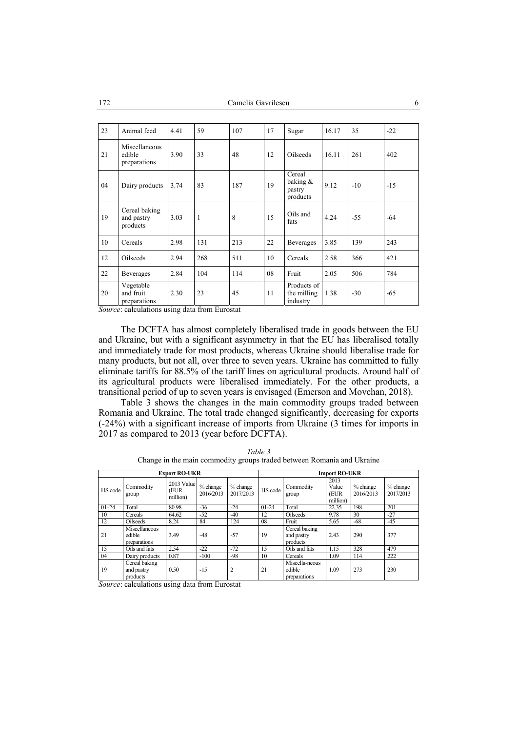| 23 | Animal feed                             | 4.41 | 59           | 107 | 17 | Sugar                                       | 16.17 | 35    | $-22$ |
|----|-----------------------------------------|------|--------------|-----|----|---------------------------------------------|-------|-------|-------|
| 21 | Miscellaneous<br>edible<br>preparations | 3.90 | 33           | 48  | 12 | <b>Oilseeds</b>                             | 16.11 | 261   | 402   |
| 04 | Dairy products                          | 3.74 | 83           | 187 | 19 | Cereal<br>baking $\&$<br>pastry<br>products | 9.12  | $-10$ | $-15$ |
| 19 | Cereal baking<br>and pastry<br>products | 3.03 | $\mathbf{1}$ | 8   | 15 | Oils and<br>fats                            | 4.24  | $-55$ | $-64$ |
| 10 | Cereals                                 | 2.98 | 131          | 213 | 22 | <b>Beverages</b>                            | 3.85  | 139   | 243   |
| 12 | Oilseeds                                | 2.94 | 268          | 511 | 10 | Cereals                                     | 2.58  | 366   | 421   |
| 22 | <b>Beverages</b>                        | 2.84 | 104          | 114 | 08 | Fruit                                       | 2.05  | 506   | 784   |
| 20 | Vegetable<br>and fruit<br>preparations  | 2.30 | 23           | 45  | 11 | Products of<br>the milling<br>industry      | 1.38  | $-30$ | $-65$ |

*Source*: calculations using data from Eurostat

The DCFTA has almost completely liberalised trade in goods between the EU and Ukraine, but with a significant asymmetry in that the EU has liberalised totally and immediately trade for most products, whereas Ukraine should liberalise trade for many products, but not all, over three to seven years. Ukraine has committed to fully eliminate tariffs for 88.5% of the tariff lines on agricultural products. Around half of its agricultural products were liberalised immediately. For the other products, a transitional period of up to seven years is envisaged (Emerson and Movchan, 2018).

Table 3 shows the changes in the main commodity groups traded between Romania and Ukraine. The total trade changed significantly, decreasing for exports (-24%) with a significant increase of imports from Ukraine (3 times for imports in 2017 as compared to 2013 (year before DCFTA).

| <b>Export RO-UKR</b> |                                         |                                      |                       |                         | <b>Import RO-UKR</b> |                                          |                                   |                         |                         |  |
|----------------------|-----------------------------------------|--------------------------------------|-----------------------|-------------------------|----------------------|------------------------------------------|-----------------------------------|-------------------------|-------------------------|--|
| HS code              | Commodity<br>group                      | 2013 Value<br><b>EUR</b><br>million) | % change<br>2016/2013 | $%$ change<br>2017/2013 | HS code              | Commodity<br>group                       | 2013<br>Value<br>(EUR<br>million) | $%$ change<br>2016/2013 | $%$ change<br>2017/2013 |  |
| $01 - 24$            | Total                                   | 80.98                                | $-36$                 | -24                     | $01 - 24$            | Total                                    | 22.35                             | 198                     | 201                     |  |
| 10                   | Cereals                                 | 64.62                                | $-52$                 | $-40$                   | 12                   | Oilseeds                                 | 9.78                              | 30                      | $-27$                   |  |
| 12                   | <b>Oilseeds</b>                         | 8.24                                 | 84                    | 124                     | 08                   | Fruit                                    | 5.65                              | $-68$                   | $-45$                   |  |
| 21                   | Miscellaneous<br>edible<br>preparations | 3.49                                 | $-48$                 | $-57$                   | 19                   | Cereal baking<br>and pastry<br>products  | 2.43                              | 290                     | 377                     |  |
| 15                   | Oils and fats                           | 2.54                                 | $-22$                 | $-72$                   | 15                   | Oils and fats                            | 1.15                              | 328                     | 479                     |  |
| 04                   | Dairy products                          | 0.87                                 | $-100$                | $-98$                   | 10                   | Cereals                                  | 1.09                              | 114                     | 222                     |  |
| 19                   | Cereal baking<br>and pastry<br>products | 0.50                                 | $-15$                 | $\overline{2}$          | 21                   | Miscella-neous<br>edible<br>preparations | 1.09                              | 273                     | 230                     |  |

*Table 3*  Change in the main commodity groups traded between Romania and Ukraine

*Source*: calculations using data from Eurostat